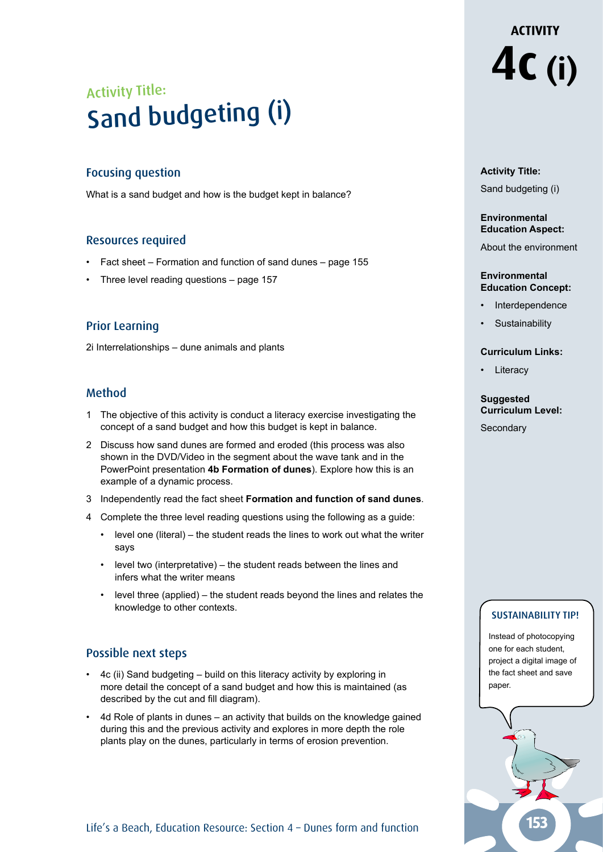## Activity Title: Sand budgeting (i)

### Focusing question

What is a sand budget and how is the budget kept in balance?

### Resources required

- Fact sheet Formation and function of sand dunes page 155
- Three level reading questions  $-$  page 157

### Prior Learning

2i Interrelationships – dune animals and plants

### Method

- 1 The objective of this activity is conduct a literacy exercise investigating the concept of a sand budget and how this budget is kept in balance.
- 2 Discuss how sand dunes are formed and eroded (this process was also shown in the DVD/Video in the segment about the wave tank and in the PowerPoint presentation **4b Formation of dunes**). Explore how this is an example of a dynamic process.
- 3 Independently read the fact sheet **Formation and function of sand dunes**.
- 4 Complete the three level reading questions using the following as a guide:
	- level one (literal) the student reads the lines to work out what the writer says
	- level two (interpretative) the student reads between the lines and infers what the writer means
	- level three (applied) the student reads beyond the lines and relates the knowledge to other contexts.

### Possible next steps

- 4c (ii) Sand budgeting build on this literacy activity by exploring in more detail the concept of a sand budget and how this is maintained (as described by the cut and fill diagram).
- 4d Role of plants in dunes an activity that builds on the knowledge gained during this and the previous activity and explores in more depth the role plants play on the dunes, particularly in terms of erosion prevention.

**4c (i)**

**ACTIVITY** 

## **Activity Title:**

Sand budgeting (i)

#### **Environmental Education Aspect:**

About the environment

#### **Environmental Education Concept:**

- **Interdependence**
- **Sustainability**

### **Curriculum Links:**

• Literacy

### **Suggested Curriculum Level:**

**Secondary** 

### SUSTAINABILITY TIP!

Instead of photocopying one for each student, project a digital image of the fact sheet and save paper.

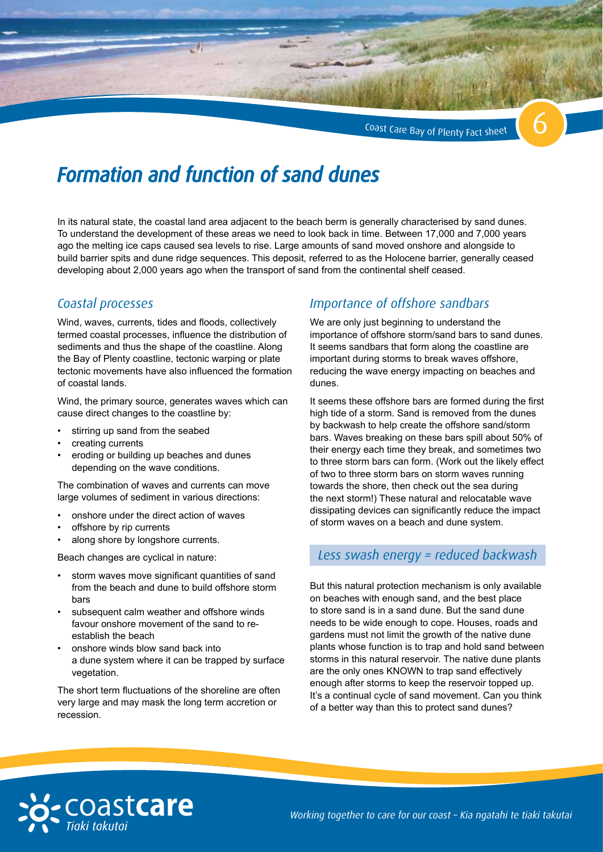Coast Care Bay of Plenty Fact sheet



## *Formation and function of sand dunes*

In its natural state, the coastal land area adjacent to the beach berm is generally characterised by sand dunes. To understand the development of these areas we need to look back in time. Between 17,000 and 7,000 years ago the melting ice caps caused sea levels to rise. Large amounts of sand moved onshore and alongside to build barrier spits and dune ridge sequences. This deposit, referred to as the Holocene barrier, generally ceased developing about 2,000 years ago when the transport of sand from the continental shelf ceased.

### *Coastal processes*

Wind, waves, currents, tides and floods, collectively termed coastal processes, influence the distribution of sediments and thus the shape of the coastline. Along the Bay of Plenty coastline, tectonic warping or plate tectonic movements have also influenced the formation of coastal lands.

Wind, the primary source, generates waves which can cause direct changes to the coastline by:

- stirring up sand from the seabed
- creating currents
- eroding or building up beaches and dunes depending on the wave conditions.

The combination of waves and currents can move large volumes of sediment in various directions:

- onshore under the direct action of waves
- offshore by rip currents
- along shore by longshore currents.

Beach changes are cyclical in nature:

- storm waves move significant quantities of sand from the beach and dune to build offshore storm bars
- subsequent calm weather and offshore winds favour onshore movement of the sand to reestablish the beach
- onshore winds blow sand back into a dune system where it can be trapped by surface vegetation.

The short term fluctuations of the shoreline are often very large and may mask the long term accretion or recession.

## *Importance of offshore sandbars*

We are only just beginning to understand the importance of offshore storm/sand bars to sand dunes. It seems sandbars that form along the coastline are important during storms to break waves offshore, reducing the wave energy impacting on beaches and dunes.

It seems these offshore bars are formed during the first high tide of a storm. Sand is removed from the dunes by backwash to help create the offshore sand/storm bars. Waves breaking on these bars spill about 50% of their energy each time they break, and sometimes two to three storm bars can form. (Work out the likely effect of two to three storm bars on storm waves running towards the shore, then check out the sea during the next storm!) These natural and relocatable wave dissipating devices can significantly reduce the impact of storm waves on a beach and dune system.

## *Less swash energy = reduced backwash*

But this natural protection mechanism is only available on beaches with enough sand, and the best place to store sand is in a sand dune. But the sand dune needs to be wide enough to cope. Houses, roads and gardens must not limit the growth of the native dune plants whose function is to trap and hold sand between storms in this natural reservoir. The native dune plants are the only ones KNOWN to trap sand effectively enough after storms to keep the reservoir topped up. It's a continual cycle of sand movement. Can you think of a better way than this to protect sand dunes?

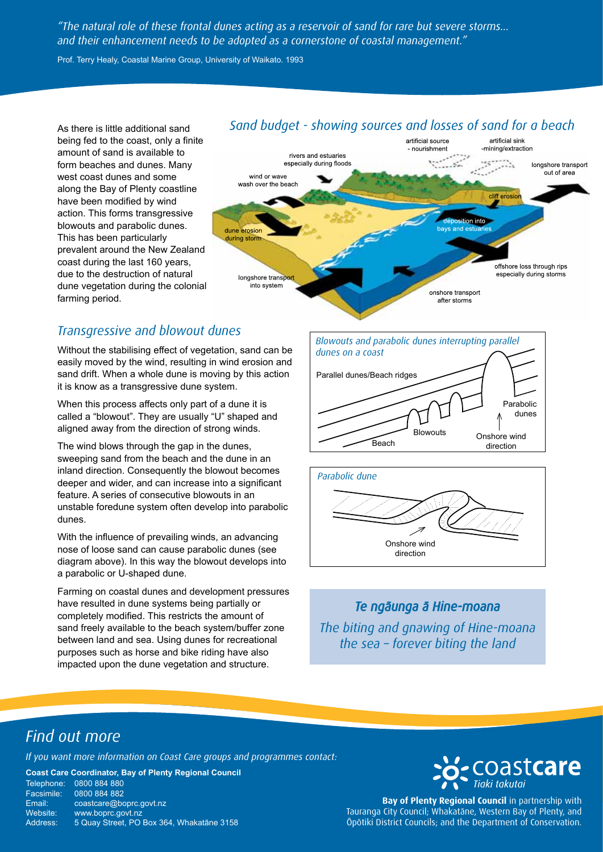*"The natural role of these frontal dunes acting as a reservoir of sand for rare but severe storms… and their enhancement needs to be adopted as a cornerstone of coastal management."*

Prof. Terry Healy, Coastal Marine Group, University of Waikato. 1993

As there is little additional sand being fed to the coast, only a finite amount of sand is available to form beaches and dunes. Many west coast dunes and some along the Bay of Plenty coastline have been modified by wind action. This forms transgressive blowouts and parabolic dunes. This has been particularly prevalent around the New Zealand coast during the last 160 years, due to the destruction of natural dune vegetation during the colonial farming period.

## Sand budget - showing sources and losses of sand for a beach



## *Transgressive and blowout dunes*

Without the stabilising effect of vegetation, sand can be easily moved by the wind, resulting in wind erosion and sand drift. When a whole dune is moving by this action it is know as a transgressive dune system.

When this process affects only part of a dune it is called a "blowout". They are usually "U" shaped and aligned away from the direction of strong winds.

The wind blows through the gap in the dunes, sweeping sand from the beach and the dune in an inland direction. Consequently the blowout becomes deeper and wider, and can increase into a significant feature. A series of consecutive blowouts in an unstable foredune system often develop into parabolic dunes.

With the influence of prevailing winds, an advancing nose of loose sand can cause parabolic dunes (see diagram above). In this way the blowout develops into a parabolic or U-shaped dune.

Farming on coastal dunes and development pressures have resulted in dune systems being partially or completely modified. This restricts the amount of sand freely available to the beach system/buffer zone between land and sea. Using dunes for recreational purposes such as horse and bike riding have also impacted upon the dune vegetation and structure.





## *Te ngāunga ā Hine-moana*

*The biting and gnawing of Hine-moana the sea – forever biting the land*

## *Find out more*

*If you want more information on Coast Care groups and programmes contact:*

**Coast Care Coordinator, Bay of Plenty Regional Council**

| Telephone: | 0800 884 880                              |
|------------|-------------------------------------------|
| Facsimile: | 0800 884 882                              |
| Email:     | coastcare@boprc.govt.nz                   |
| Website:   | www.boprc.govt.nz                         |
| Address:   | 5 Quay Street, PO Box 364, Whakatane 3158 |



**Bay of Plenty Regional Council** in partnership with Tauranga City Council; Whakatāne, Western Bay of Plenty, and Ōpōtiki District Councils; and the Department of Conservation.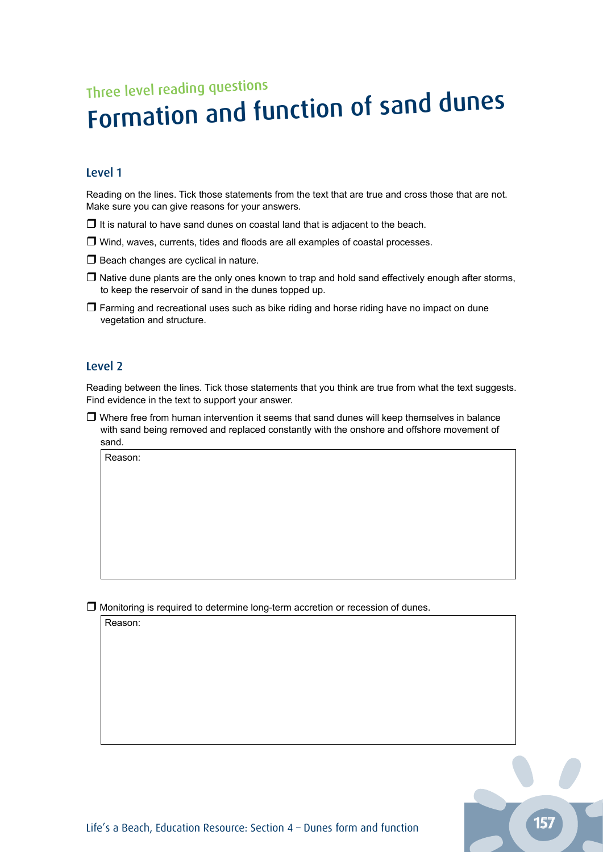# Three level reading questions Formation and function of sand dunes

### Level 1

Reading on the lines. Tick those statements from the text that are true and cross those that are not. Make sure you can give reasons for your answers.

- $\Box$  It is natural to have sand dunes on coastal land that is adjacent to the beach.
- $\Box$  Wind, waves, currents, tides and floods are all examples of coastal processes.
- $\Box$  Beach changes are cyclical in nature.
- $\Box$  Native dune plants are the only ones known to trap and hold sand effectively enough after storms, to keep the reservoir of sand in the dunes topped up.
- $\Box$  Farming and recreational uses such as bike riding and horse riding have no impact on dune vegetation and structure.

### Level 2

Reading between the lines. Tick those statements that you think are true from what the text suggests. Find evidence in the text to support your answer.

 $\Box$  Where free from human intervention it seems that sand dunes will keep themselves in balance with sand being removed and replaced constantly with the onshore and offshore movement of sand.

Reason:

 $\Box$  Monitoring is required to determine long-term accretion or recession of dunes.

Reason: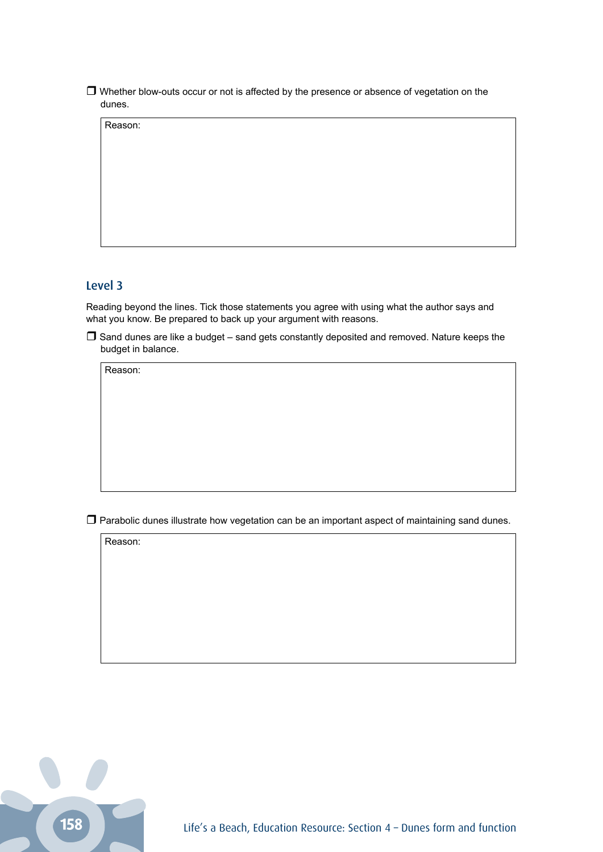Whether blow-outs occur or not is affected by the presence or absence of vegetation on the dunes.

Reason:

### Level 3

Reading beyond the lines. Tick those statements you agree with using what the author says and what you know. Be prepared to back up your argument with reasons.

 $\Box$  Sand dunes are like a budget – sand gets constantly deposited and removed. Nature keeps the budget in balance.

Reason:

 $\Box$  Parabolic dunes illustrate how vegetation can be an important aspect of maintaining sand dunes.

Reason: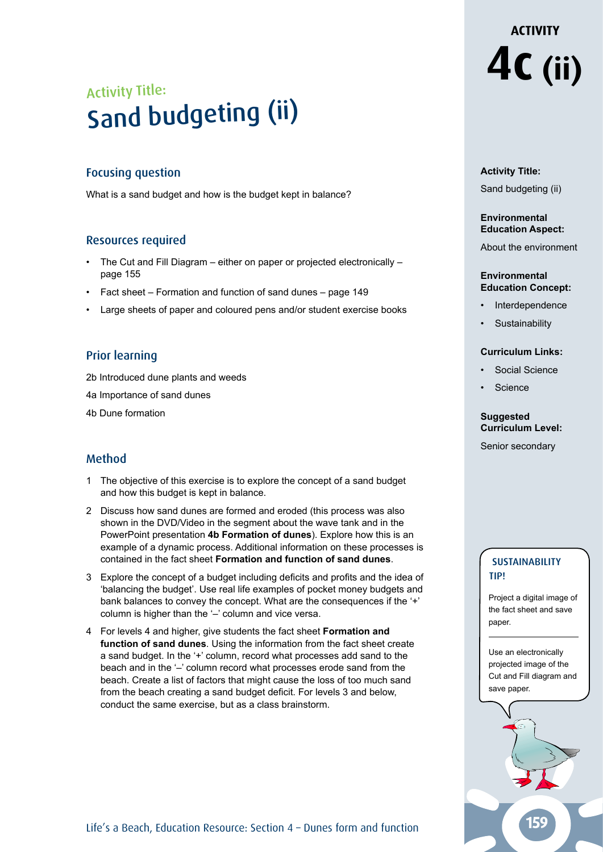## Activity Title: Sand budgeting (ii)

### Focusing question

What is a sand budget and how is the budget kept in balance?

### Resources required

- The Cut and Fill Diagram either on paper or projected electronically page 155
- Fact sheet Formation and function of sand dunes page 149
- Large sheets of paper and coloured pens and/or student exercise books

### Prior learning

2b Introduced dune plants and weeds

- 4a Importance of sand dunes
- 4b Dune formation

### Method

- 1 The objective of this exercise is to explore the concept of a sand budget and how this budget is kept in balance.
- 2 Discuss how sand dunes are formed and eroded (this process was also shown in the DVD/Video in the segment about the wave tank and in the PowerPoint presentation **4b Formation of dunes**). Explore how this is an example of a dynamic process. Additional information on these processes is contained in the fact sheet **Formation and function of sand dunes**.
- 3 Explore the concept of a budget including deficits and profits and the idea of 'balancing the budget'. Use real life examples of pocket money budgets and bank balances to convey the concept. What are the consequences if the '+' column is higher than the '–' column and vice versa.
- 4 For levels 4 and higher, give students the fact sheet **Formation and function of sand dunes**. Using the information from the fact sheet create a sand budget. In the '+' column, record what processes add sand to the beach and in the '–' column record what processes erode sand from the beach. Create a list of factors that might cause the loss of too much sand from the beach creating a sand budget deficit. For levels 3 and below, conduct the same exercise, but as a class brainstorm.

# **ACTIVITY 4c (ii)**

### **Activity Title:**

Sand budgeting (ii)

### **Environmental Education Aspect:**

About the environment

#### **Environmental Education Concept:**

- **Interdependence**
- **Sustainability**

### **Curriculum Links:**

- Social Science
- **Science**

## **Suggested Curriculum Level:**

Senior secondary

## **SUSTAINABILITY** tip!

Project a digital image of the fact sheet and save paper.

Use an electronically projected image of the Cut and Fill diagram and save paper.

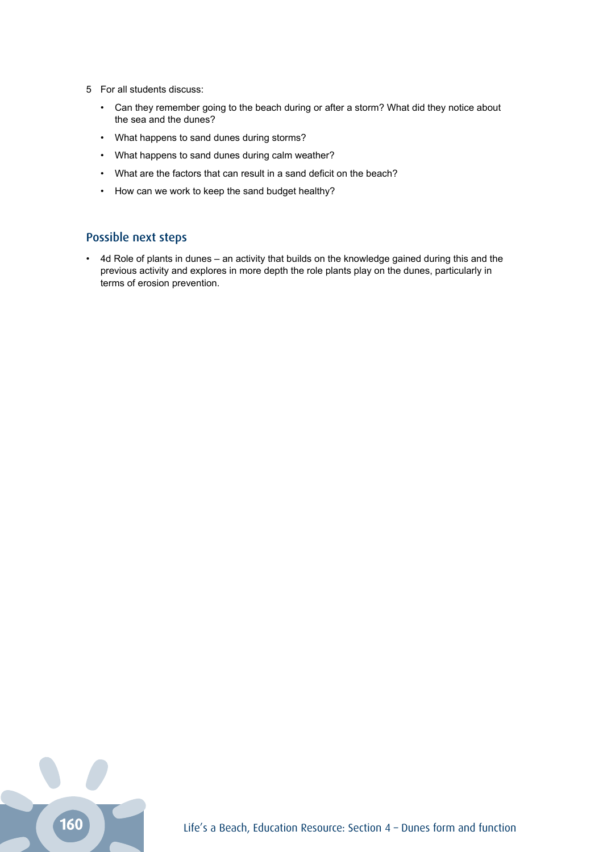- 5 For all students discuss:
	- Can they remember going to the beach during or after a storm? What did they notice about the sea and the dunes?
	- What happens to sand dunes during storms?
	- What happens to sand dunes during calm weather?
	- What are the factors that can result in a sand deficit on the beach?
	- How can we work to keep the sand budget healthy?

### Possible next steps

• 4d Role of plants in dunes – an activity that builds on the knowledge gained during this and the previous activity and explores in more depth the role plants play on the dunes, particularly in terms of erosion prevention.